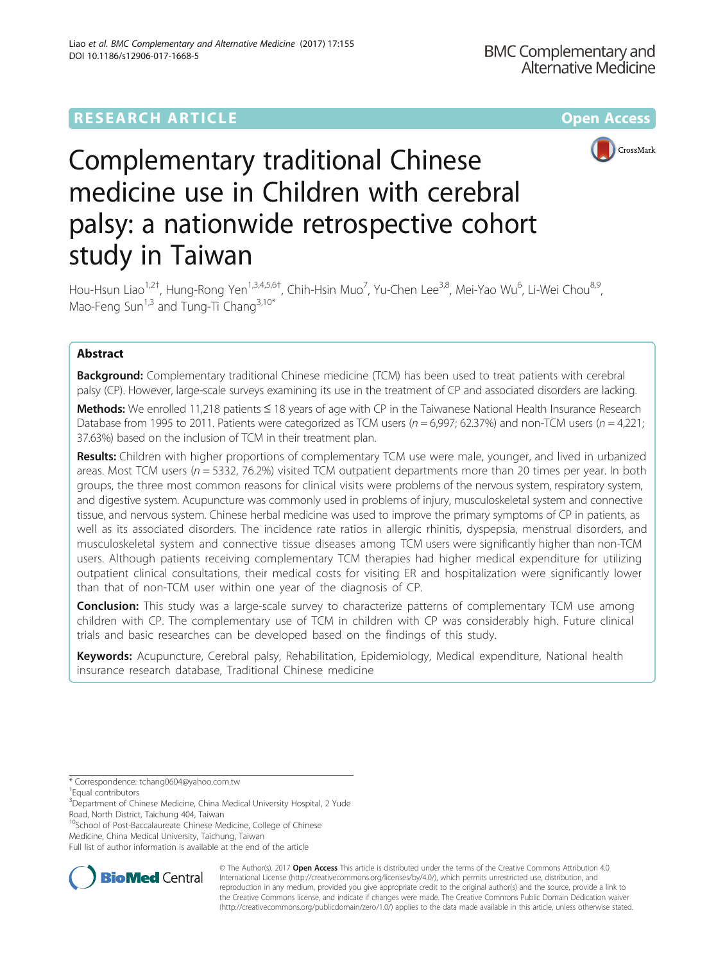## **RESEARCH ARTICLE Example 2014 12:30 The Community Community Community Community Community Community Community**



# Complementary traditional Chinese medicine use in Children with cerebral palsy: a nationwide retrospective cohort study in Taiwan

Hou-Hsun Liao<sup>1,2†</sup>, Hung-Rong Yen<sup>1,3,4,5,6†</sup>, Chih-Hsin Muo<sup>7</sup>, Yu-Chen Lee<sup>3,8</sup>, Mei-Yao Wu<sup>6</sup>, Li-Wei Chou<sup>8,9</sup>, Mao-Feng Sun<sup>1,3</sup> and Tung-Ti Chang<sup>3,10\*</sup>

## Abstract

Background: Complementary traditional Chinese medicine (TCM) has been used to treat patients with cerebral palsy (CP). However, large-scale surveys examining its use in the treatment of CP and associated disorders are lacking.

Methods: We enrolled 11,218 patients ≤ 18 years of age with CP in the Taiwanese National Health Insurance Research Database from 1995 to 2011. Patients were categorized as TCM users ( $n = 6.997$ ; 62.37%) and non-TCM users ( $n = 4.221$ ; 37.63%) based on the inclusion of TCM in their treatment plan.

Results: Children with higher proportions of complementary TCM use were male, younger, and lived in urbanized areas. Most TCM users ( $n = 5332$ , 76.2%) visited TCM outpatient departments more than 20 times per year. In both groups, the three most common reasons for clinical visits were problems of the nervous system, respiratory system, and digestive system. Acupuncture was commonly used in problems of injury, musculoskeletal system and connective tissue, and nervous system. Chinese herbal medicine was used to improve the primary symptoms of CP in patients, as well as its associated disorders. The incidence rate ratios in allergic rhinitis, dyspepsia, menstrual disorders, and musculoskeletal system and connective tissue diseases among TCM users were significantly higher than non-TCM users. Although patients receiving complementary TCM therapies had higher medical expenditure for utilizing outpatient clinical consultations, their medical costs for visiting ER and hospitalization were significantly lower than that of non-TCM user within one year of the diagnosis of CP.

**Conclusion:** This study was a large-scale survey to characterize patterns of complementary TCM use among children with CP. The complementary use of TCM in children with CP was considerably high. Future clinical trials and basic researches can be developed based on the findings of this study.

Keywords: Acupuncture, Cerebral palsy, Rehabilitation, Epidemiology, Medical expenditure, National health insurance research database, Traditional Chinese medicine

\* Correspondence: [tchang0604@yahoo.com.tw](mailto:tchang0604@yahoo.com.tw) †

Equal contributors

<sup>10</sup>School of Post-Baccalaureate Chinese Medicine, College of Chinese



© The Author(s). 2017 **Open Access** This article is distributed under the terms of the Creative Commons Attribution 4.0 International License [\(http://creativecommons.org/licenses/by/4.0/](http://creativecommons.org/licenses/by/4.0/)), which permits unrestricted use, distribution, and reproduction in any medium, provided you give appropriate credit to the original author(s) and the source, provide a link to the Creative Commons license, and indicate if changes were made. The Creative Commons Public Domain Dedication waiver [\(http://creativecommons.org/publicdomain/zero/1.0/](http://creativecommons.org/publicdomain/zero/1.0/)) applies to the data made available in this article, unless otherwise stated.

<sup>&</sup>lt;sup>3</sup>Department of Chinese Medicine, China Medical University Hospital, 2 Yude Road, North District, Taichung 404, Taiwan

Medicine, China Medical University, Taichung, Taiwan Full list of author information is available at the end of the article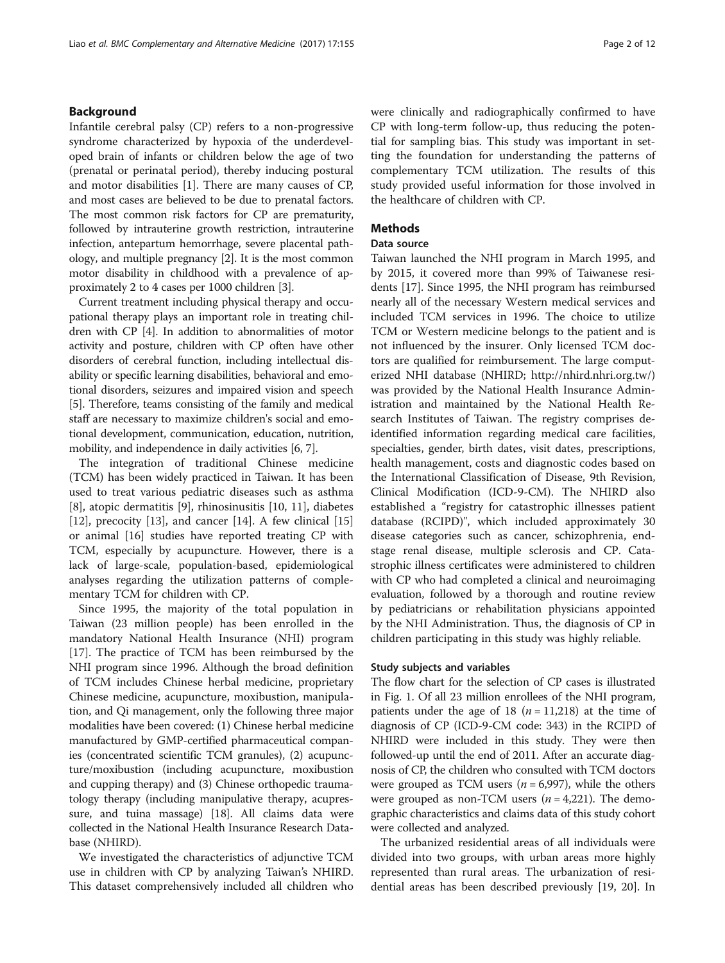## Background

Infantile cerebral palsy (CP) refers to a non-progressive syndrome characterized by hypoxia of the underdeveloped brain of infants or children below the age of two (prenatal or perinatal period), thereby inducing postural and motor disabilities [\[1](#page-9-0)]. There are many causes of CP, and most cases are believed to be due to prenatal factors. The most common risk factors for CP are prematurity, followed by intrauterine growth restriction, intrauterine infection, antepartum hemorrhage, severe placental pathology, and multiple pregnancy [[2](#page-9-0)]. It is the most common motor disability in childhood with a prevalence of approximately 2 to 4 cases per 1000 children [[3\]](#page-9-0).

Current treatment including physical therapy and occupational therapy plays an important role in treating children with CP [[4\]](#page-9-0). In addition to abnormalities of motor activity and posture, children with CP often have other disorders of cerebral function, including intellectual disability or specific learning disabilities, behavioral and emotional disorders, seizures and impaired vision and speech [[5\]](#page-9-0). Therefore, teams consisting of the family and medical staff are necessary to maximize children's social and emotional development, communication, education, nutrition, mobility, and independence in daily activities [[6, 7](#page-9-0)].

The integration of traditional Chinese medicine (TCM) has been widely practiced in Taiwan. It has been used to treat various pediatric diseases such as asthma [[8\]](#page-9-0), atopic dermatitis [[9\]](#page-9-0), rhinosinusitis [[10, 11\]](#page-10-0), diabetes [[12\]](#page-10-0), precocity [\[13\]](#page-10-0), and cancer [\[14](#page-10-0)]. A few clinical [[15](#page-10-0)] or animal [[16\]](#page-10-0) studies have reported treating CP with TCM, especially by acupuncture. However, there is a lack of large-scale, population-based, epidemiological analyses regarding the utilization patterns of complementary TCM for children with CP.

Since 1995, the majority of the total population in Taiwan (23 million people) has been enrolled in the mandatory National Health Insurance (NHI) program [[17\]](#page-10-0). The practice of TCM has been reimbursed by the NHI program since 1996. Although the broad definition of TCM includes Chinese herbal medicine, proprietary Chinese medicine, acupuncture, moxibustion, manipulation, and Qi management, only the following three major modalities have been covered: (1) Chinese herbal medicine manufactured by GMP-certified pharmaceutical companies (concentrated scientific TCM granules), (2) acupuncture/moxibustion (including acupuncture, moxibustion and cupping therapy) and (3) Chinese orthopedic traumatology therapy (including manipulative therapy, acupressure, and tuina massage) [\[18\]](#page-10-0). All claims data were collected in the National Health Insurance Research Database (NHIRD).

We investigated the characteristics of adjunctive TCM use in children with CP by analyzing Taiwan's NHIRD. This dataset comprehensively included all children who were clinically and radiographically confirmed to have CP with long-term follow-up, thus reducing the potential for sampling bias. This study was important in setting the foundation for understanding the patterns of complementary TCM utilization. The results of this study provided useful information for those involved in the healthcare of children with CP.

## **Methods**

## Data source

Taiwan launched the NHI program in March 1995, and by 2015, it covered more than 99% of Taiwanese residents [[17\]](#page-10-0). Since 1995, the NHI program has reimbursed nearly all of the necessary Western medical services and included TCM services in 1996. The choice to utilize TCM or Western medicine belongs to the patient and is not influenced by the insurer. Only licensed TCM doctors are qualified for reimbursement. The large computerized NHI database (NHIRD;<http://nhird.nhri.org.tw/>) was provided by the National Health Insurance Administration and maintained by the National Health Research Institutes of Taiwan. The registry comprises deidentified information regarding medical care facilities, specialties, gender, birth dates, visit dates, prescriptions, health management, costs and diagnostic codes based on the International Classification of Disease, 9th Revision, Clinical Modification (ICD-9-CM). The NHIRD also established a "registry for catastrophic illnesses patient database (RCIPD)", which included approximately 30 disease categories such as cancer, schizophrenia, endstage renal disease, multiple sclerosis and CP. Catastrophic illness certificates were administered to children with CP who had completed a clinical and neuroimaging evaluation, followed by a thorough and routine review by pediatricians or rehabilitation physicians appointed by the NHI Administration. Thus, the diagnosis of CP in children participating in this study was highly reliable.

#### Study subjects and variables

The flow chart for the selection of CP cases is illustrated in Fig. [1](#page-2-0). Of all 23 million enrollees of the NHI program, patients under the age of 18 ( $n = 11,218$ ) at the time of diagnosis of CP (ICD-9-CM code: 343) in the RCIPD of NHIRD were included in this study. They were then followed-up until the end of 2011. After an accurate diagnosis of CP, the children who consulted with TCM doctors were grouped as TCM users ( $n = 6,997$ ), while the others were grouped as non-TCM users  $(n = 4,221)$ . The demographic characteristics and claims data of this study cohort were collected and analyzed.

The urbanized residential areas of all individuals were divided into two groups, with urban areas more highly represented than rural areas. The urbanization of residential areas has been described previously [\[19](#page-10-0), [20](#page-10-0)]. In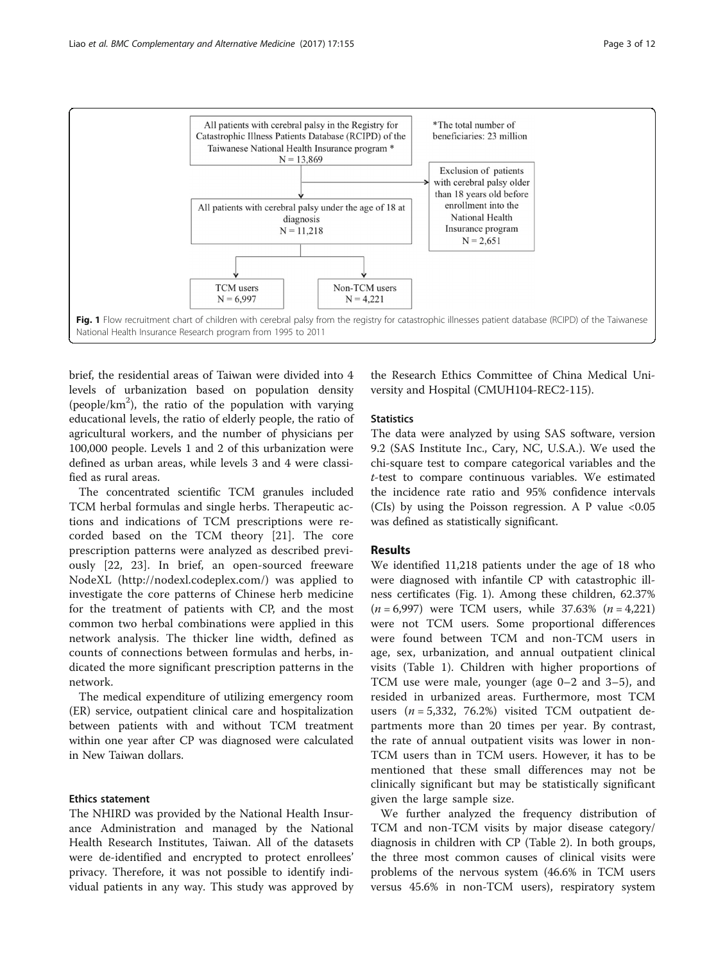<span id="page-2-0"></span>

brief, the residential areas of Taiwan were divided into 4 levels of urbanization based on population density (people/ $km<sup>2</sup>$ ), the ratio of the population with varying educational levels, the ratio of elderly people, the ratio of agricultural workers, and the number of physicians per 100,000 people. Levels 1 and 2 of this urbanization were defined as urban areas, while levels 3 and 4 were classified as rural areas.

The concentrated scientific TCM granules included TCM herbal formulas and single herbs. Therapeutic actions and indications of TCM prescriptions were recorded based on the TCM theory [[21\]](#page-10-0). The core prescription patterns were analyzed as described previously [[22, 23\]](#page-10-0). In brief, an open-sourced freeware NodeXL [\(http://nodexl.codeplex.com/\)](http://nodexl.codeplex.com/) was applied to investigate the core patterns of Chinese herb medicine for the treatment of patients with CP, and the most common two herbal combinations were applied in this network analysis. The thicker line width, defined as counts of connections between formulas and herbs, indicated the more significant prescription patterns in the network.

The medical expenditure of utilizing emergency room (ER) service, outpatient clinical care and hospitalization between patients with and without TCM treatment within one year after CP was diagnosed were calculated in New Taiwan dollars.

## Ethics statement

The NHIRD was provided by the National Health Insurance Administration and managed by the National Health Research Institutes, Taiwan. All of the datasets were de-identified and encrypted to protect enrollees' privacy. Therefore, it was not possible to identify individual patients in any way. This study was approved by

the Research Ethics Committee of China Medical University and Hospital (CMUH104-REC2-115).

## **Statistics**

The data were analyzed by using SAS software, version 9.2 (SAS Institute Inc., Cary, NC, U.S.A.). We used the chi-square test to compare categorical variables and the t-test to compare continuous variables. We estimated the incidence rate ratio and 95% confidence intervals (CIs) by using the Poisson regression. A P value  $\langle 0.05 \rangle$ was defined as statistically significant.

## **Results**

We identified 11,218 patients under the age of 18 who were diagnosed with infantile CP with catastrophic illness certificates (Fig. 1). Among these children, 62.37%  $(n = 6,997)$  were TCM users, while 37.63%  $(n = 4,221)$ were not TCM users. Some proportional differences were found between TCM and non-TCM users in age, sex, urbanization, and annual outpatient clinical visits (Table [1](#page-3-0)). Children with higher proportions of TCM use were male, younger (age 0–2 and 3–5), and resided in urbanized areas. Furthermore, most TCM users  $(n = 5,332, 76.2%)$  visited TCM outpatient departments more than 20 times per year. By contrast, the rate of annual outpatient visits was lower in non-TCM users than in TCM users. However, it has to be mentioned that these small differences may not be clinically significant but may be statistically significant given the large sample size.

We further analyzed the frequency distribution of TCM and non-TCM visits by major disease category/ diagnosis in children with CP (Table [2](#page-3-0)). In both groups, the three most common causes of clinical visits were problems of the nervous system (46.6% in TCM users versus 45.6% in non-TCM users), respiratory system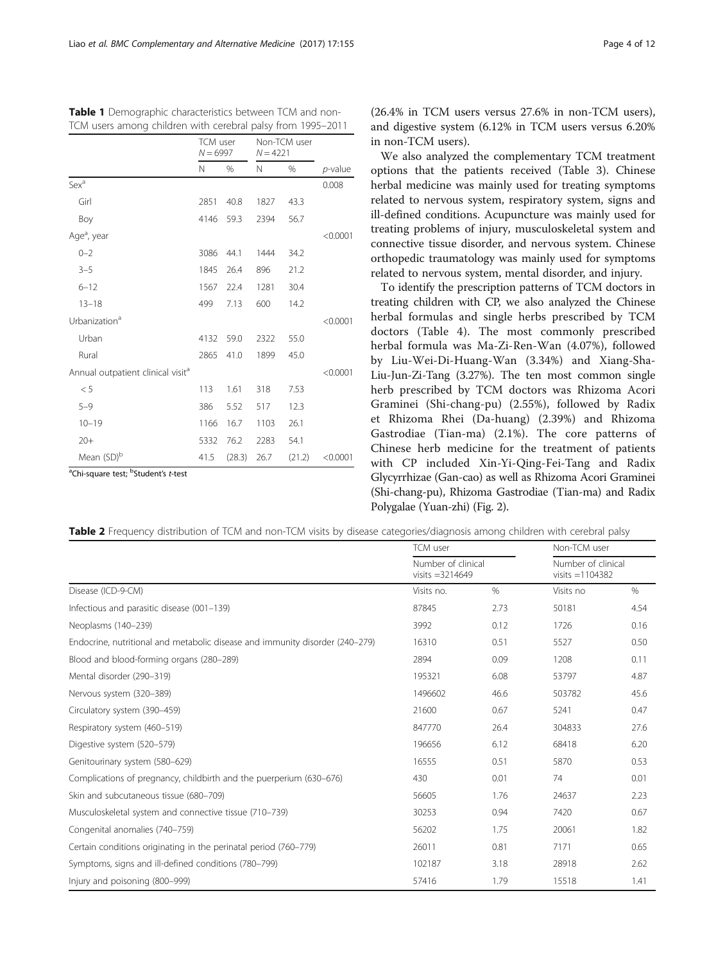|                                               | TCM user<br>$N = 6997$ |        | Non-TCM user<br>$N = 4221$ |        |            |
|-----------------------------------------------|------------------------|--------|----------------------------|--------|------------|
|                                               | N                      | $\%$   | N                          | $\%$   | $p$ -value |
| Sex <sup>a</sup>                              |                        |        |                            |        | 0.008      |
| Girl                                          | 2851                   | 40.8   | 1827                       | 43.3   |            |
| Boy                                           | 4146                   | 59.3   | 2394                       | 56.7   |            |
| Age <sup>a</sup> , year                       |                        |        |                            |        | < 0.0001   |
| $0 - 2$                                       | 3086                   | 44.1   | 1444                       | 34.2   |            |
| $3 - 5$                                       | 1845                   | 26.4   | 896                        | 21.2   |            |
| $6 - 12$                                      | 1567                   | 22.4   | 1281                       | 30.4   |            |
| $13 - 18$                                     | 499                    | 7.13   | 600                        | 14.2   |            |
| Urbanization <sup>a</sup>                     |                        |        |                            |        | < 0.0001   |
| Urban                                         | 4132                   | 59.0   | 2322                       | 55.0   |            |
| Rural                                         | 2865                   | 41.0   | 1899                       | 45.0   |            |
| Annual outpatient clinical visit <sup>a</sup> |                        |        |                            |        | < 0.0001   |
| < 5                                           | 113                    | 1.61   | 318                        | 7.53   |            |
| $5 - 9$                                       | 386                    | 5.52   | 517                        | 12.3   |            |
| $10 - 19$                                     | 1166                   | 16.7   | 1103                       | 26.1   |            |
| $20+$                                         | 5332                   | 76.2   | 2283                       | 54.1   |            |
| Mean (SD) <sup>b</sup>                        | 41.5                   | (28.3) | 26.7                       | (21.2) | < 0.0001   |

<span id="page-3-0"></span>Table 1 Demographic characteristics between TCM and non-TCM users among children with cerebral palsy from 1995–2011

<sup>a</sup>Chi-square test; <sup>b</sup>Student's t-test

(26.4% in TCM users versus 27.6% in non-TCM users), and digestive system (6.12% in TCM users versus 6.20% in non-TCM users).

We also analyzed the complementary TCM treatment options that the patients received (Table [3\)](#page-4-0). Chinese herbal medicine was mainly used for treating symptoms related to nervous system, respiratory system, signs and ill-defined conditions. Acupuncture was mainly used for treating problems of injury, musculoskeletal system and connective tissue disorder, and nervous system. Chinese orthopedic traumatology was mainly used for symptoms related to nervous system, mental disorder, and injury.

To identify the prescription patterns of TCM doctors in treating children with CP, we also analyzed the Chinese herbal formulas and single herbs prescribed by TCM doctors (Table [4\)](#page-5-0). The most commonly prescribed herbal formula was Ma-Zi-Ren-Wan (4.07%), followed by Liu-Wei-Di-Huang-Wan (3.34%) and Xiang-Sha-Liu-Jun-Zi-Tang (3.27%). The ten most common single herb prescribed by TCM doctors was Rhizoma Acori Graminei (Shi-chang-pu) (2.55%), followed by Radix et Rhizoma Rhei (Da-huang) (2.39%) and Rhizoma Gastrodiae (Tian-ma) (2.1%). The core patterns of Chinese herb medicine for the treatment of patients with CP included Xin-Yi-Qing-Fei-Tang and Radix Glycyrrhizae (Gan-cao) as well as Rhizoma Acori Graminei (Shi-chang-pu), Rhizoma Gastrodiae (Tian-ma) and Radix Polygalae (Yuan-zhi) (Fig. [2\)](#page-7-0).

Table 2 Frequency distribution of TCM and non-TCM visits by disease categories/diagnosis among children with cerebral palsy

TCM user Non-TCM user Number of clinical visits =3214649 Number of clinical visits =1104382 Disease (ICD-9-CM) Visits no. % Visits no % Infectious and parasitic disease (001–139) 87845 2.73 50181 4.54 Neoplasms (140–239) 3992 0.12 1726 0.16 Endocrine, nutritional and metabolic disease and immunity disorder (240–279) 16310 0.51 5527 0.50 Blood and blood-forming organs (280–289) 2894 2894 0.09 1208 0.11 Mental disorder (290–319) 195321 6.08 53797 4.87 Nervous system (320–389) 1496602 46.6 503782 45.6 Circulatory system (390–459) 21600 0.67 5241 0.47 Respiratory system (460–519)  $27.6$ Digestive system (520–579) 196656 6.12 68418 6.20 Genitourinary system (580–629) 16555 0.51 5870 0.53 Complications of pregnancy, childbirth and the puerperium (630–676) 430 0.01 74 0.01 Skin and subcutaneous tissue (680–709) 56605 1.76 24637 2.23 Musculoskeletal system and connective tissue (710–739) 30253 0.94 7420 0.67 Congenital anomalies (740–759) 56202 1.75 20061 1.82 Certain conditions originating in the perinatal period (760–779) 26011 0.81 7171 0.65 Symptoms, signs and ill-defined conditions (780–799) 102187 102187 3.18 28918 28918 2.62 Injury and poisoning (800–999) 57416 1.79 15518 1.41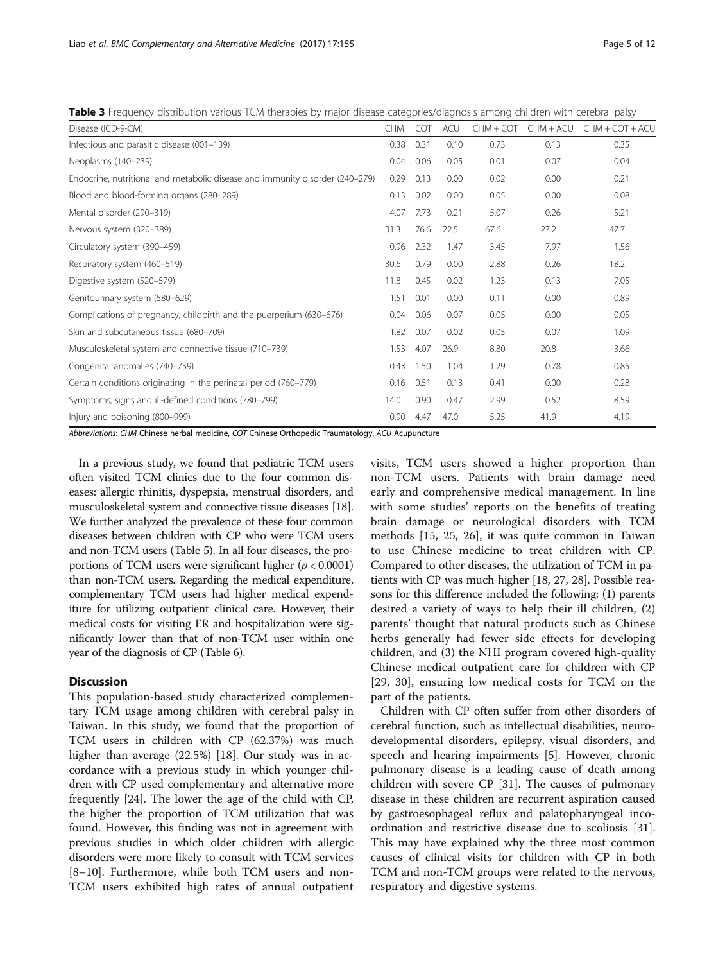<span id="page-4-0"></span>Table 3 Frequency distribution various TCM therapies by major disease categories/diagnosis among children with cerebral palsy

| Disease (ICD-9-CM)                                                           | <b>CHM</b> | <b>COT</b> | <b>ACU</b> | CHM + COT | $CHM + ACU$ | $CHM + COT + ACU$ |
|------------------------------------------------------------------------------|------------|------------|------------|-----------|-------------|-------------------|
| Infectious and parasitic disease (001-139)                                   | 0.38       | 0.31       | 0.10       | 0.73      | 0.13        | 0.35              |
| Neoplasms (140-239)                                                          | 0.04       | 0.06       | 0.05       | 0.01      | 0.07        | 0.04              |
| Endocrine, nutritional and metabolic disease and immunity disorder (240–279) | 0.29       | 0.13       | 0.00       | 0.02      | 0.00        | 0.21              |
| Blood and blood-forming organs (280-289)                                     | 0.13       | 0.02.      | 0.00       | 0.05      | 0.00        | 0.08              |
| Mental disorder (290-319)                                                    | 4.07       | 7.73       | 0.21       | 5.07      | 0.26        | 5.21              |
| Nervous system (320-389)                                                     | 31.3       | 76.6       | 22.5       | 67.6      | 27.2        | 47.7              |
| Circulatory system (390-459)                                                 | 0.96       | 2.32       | 1.47       | 3.45      | 7.97        | 1.56              |
| Respiratory system (460-519)                                                 | 30.6       | 0.79       | 0.00       | 2.88      | 0.26        | 18.2              |
| Digestive system (520-579)                                                   | 11.8       | 0.45       | 0.02       | 1.23      | 0.13        | 7.05              |
| Genitourinary system (580-629)                                               | 1.51       | 0.01       | 0.00       | 0.11      | 0.00        | 0.89              |
| Complications of pregnancy, childbirth and the puerperium (630–676)          | 0.04       | 0.06       | 0.07       | 0.05      | 0.00        | 0.05              |
| Skin and subcutaneous tissue (680-709)                                       | 1.82       | 0.07       | 0.02       | 0.05      | 0.07        | 1.09              |
| Musculoskeletal system and connective tissue (710-739)                       | 1.53       | 4.07       | 26.9       | 8.80      | 20.8        | 3.66              |
| Congenital anomalies (740-759)                                               | 0.43       | 1.50       | 1.04       | 1.29      | 0.78        | 0.85              |
| Certain conditions originating in the perinatal period (760-779)             | 0.16       | 0.51       | 0.13       | 0.41      | 0.00        | 0.28              |
| Symptoms, signs and ill-defined conditions (780-799)                         | 14.0       | 0.90       | 0.47       | 2.99      | 0.52        | 8.59              |
| Injury and poisoning (800-999)                                               | 0.90       | 4.47       | 47.0       | 5.25      | 41.9        | 4.19              |

Abbreviations: CHM Chinese herbal medicine, COT Chinese Orthopedic Traumatology, ACU Acupuncture

In a previous study, we found that pediatric TCM users often visited TCM clinics due to the four common diseases: allergic rhinitis, dyspepsia, menstrual disorders, and musculoskeletal system and connective tissue diseases [[18](#page-10-0)]. We further analyzed the prevalence of these four common diseases between children with CP who were TCM users and non-TCM users (Table [5\)](#page-7-0). In all four diseases, the proportions of TCM users were significant higher ( $p < 0.0001$ ) than non-TCM users. Regarding the medical expenditure, complementary TCM users had higher medical expenditure for utilizing outpatient clinical care. However, their medical costs for visiting ER and hospitalization were significantly lower than that of non-TCM user within one year of the diagnosis of CP (Table [6\)](#page-8-0).

## **Discussion**

This population-based study characterized complementary TCM usage among children with cerebral palsy in Taiwan. In this study, we found that the proportion of TCM users in children with CP (62.37%) was much higher than average (22.5%) [[18\]](#page-10-0). Our study was in accordance with a previous study in which younger children with CP used complementary and alternative more frequently [[24\]](#page-10-0). The lower the age of the child with CP, the higher the proportion of TCM utilization that was found. However, this finding was not in agreement with previous studies in which older children with allergic disorders were more likely to consult with TCM services [[8](#page-9-0)–[10\]](#page-10-0). Furthermore, while both TCM users and non-TCM users exhibited high rates of annual outpatient visits, TCM users showed a higher proportion than non-TCM users. Patients with brain damage need early and comprehensive medical management. In line with some studies' reports on the benefits of treating brain damage or neurological disorders with TCM methods [[15, 25](#page-10-0), [26\]](#page-10-0), it was quite common in Taiwan to use Chinese medicine to treat children with CP. Compared to other diseases, the utilization of TCM in patients with CP was much higher [[18](#page-10-0), [27, 28\]](#page-10-0). Possible reasons for this difference included the following: (1) parents desired a variety of ways to help their ill children, (2) parents' thought that natural products such as Chinese herbs generally had fewer side effects for developing children, and (3) the NHI program covered high-quality Chinese medical outpatient care for children with CP [[29, 30\]](#page-10-0), ensuring low medical costs for TCM on the part of the patients.

Children with CP often suffer from other disorders of cerebral function, such as intellectual disabilities, neurodevelopmental disorders, epilepsy, visual disorders, and speech and hearing impairments [\[5](#page-9-0)]. However, chronic pulmonary disease is a leading cause of death among children with severe CP [[31\]](#page-10-0). The causes of pulmonary disease in these children are recurrent aspiration caused by gastroesophageal reflux and palatopharyngeal incoordination and restrictive disease due to scoliosis [\[31](#page-10-0)]. This may have explained why the three most common causes of clinical visits for children with CP in both TCM and non-TCM groups were related to the nervous, respiratory and digestive systems.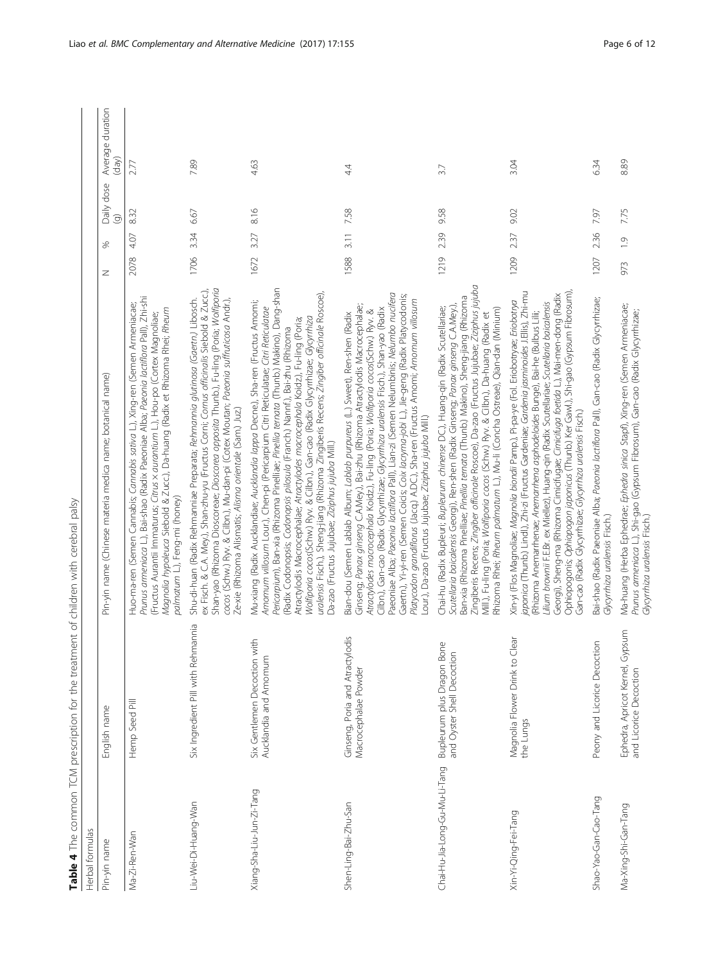| ١                                        |
|------------------------------------------|
|                                          |
| ļ<br>5                                   |
|                                          |
| i                                        |
| j                                        |
| Ì,                                       |
| ٦                                        |
| $\ddot{ }$                               |
| $\ddot{\phantom{a}}$                     |
| l                                        |
|                                          |
| ł                                        |
| I                                        |
| $\frac{1}{2}$                            |
|                                          |
| $\frac{1}{2}$<br>i<br>History            |
| $\ddot{\phantom{a}}$                     |
| 3)                                       |
|                                          |
| which the thing the train<br>;<br>;<br>; |
|                                          |
|                                          |
|                                          |
|                                          |
| j<br>l                                   |
|                                          |
| i<br>こりり                                 |
| ļ                                        |
| $\overline{a}$                           |
|                                          |
| -<br>5<br>5<br>5<br>i                    |
|                                          |
|                                          |
|                                          |
|                                          |
| The common<br>$\frac{1}{2}$              |
|                                          |
|                                          |
|                                          |
|                                          |
| $\vdots$<br>$\frac{1}{\epsilon}$         |
| İ                                        |
|                                          |

<span id="page-5-0"></span>

|                                | Table 4 The common TCM prescription for the treatment of children with cerebral palsy |                                                                                                                                                                                                                                                                                                                                                                                                                                                                                                                                                                                                                                                                             |      |               |                              |                           |
|--------------------------------|---------------------------------------------------------------------------------------|-----------------------------------------------------------------------------------------------------------------------------------------------------------------------------------------------------------------------------------------------------------------------------------------------------------------------------------------------------------------------------------------------------------------------------------------------------------------------------------------------------------------------------------------------------------------------------------------------------------------------------------------------------------------------------|------|---------------|------------------------------|---------------------------|
| Herbal formulas                |                                                                                       |                                                                                                                                                                                                                                                                                                                                                                                                                                                                                                                                                                                                                                                                             |      |               |                              |                           |
| Pin-yin name                   | English name                                                                          | Pin-yin name (Chinese materia medica name; botanical name)                                                                                                                                                                                                                                                                                                                                                                                                                                                                                                                                                                                                                  | z    | %             | Daily dose<br>$\circledcirc$ | Average duration<br>(dav) |
| Ma-Zi-Ren-Wan                  | Hemp Seed Pill                                                                        | Prunus armeniaca L.), Bai-shao (Radix Paeoniae Alba; Paeonia lactiflora Pall), Zhi-shi<br>Huo-ma-ren (Semen Cannabis; Cannabis sativa L.), Xing-ren (Semen Armeniacae;<br>Magnolia hypoleuca Siebold & Zucc.), Da-huang (Radix et Rhizoma Rhei; Rheum<br>(Fructus Aurantii Immaturus; Citrus x aurantium L.), Hou-po (Cortex Magnoliae;<br>palmatum L.), Feng-mi (honey)                                                                                                                                                                                                                                                                                                    | 2078 | 4.07          | 832                          | 2.77                      |
| Liu-Wei-Di-Huang-Wan           | Six Ingredient Pill with Rehmannia                                                    | Shan-yao (Rhizoma Dioscoreae; Dioscorea opposita Thunb.), Fu-ling (Poria; Wolfiporia<br>ex Fisch. & C.A. Mey.), Shan-zhu-yu (Fructus Corni; Cornus officinalis Siebold & Zucc.),<br>cocos (Schw.) Ryv. & Cilbn.), Mu-dan-pi (Cotex Moutan; Paeonia suffruticosa Andr.),<br>Shu-di-huan (Radix Rehmanniae Preparata; Rehmannia glutinosa (Gaertn.) Libosch.<br>Ze-xie (Rhizoma Alismatis; Alisma orientale (Sam.) Juz.)                                                                                                                                                                                                                                                      | 1706 | 334           | 6.67                         | 7.89                      |
| Xiang-Sha-Liu-Jun-Zi-Tang      | Six Gentlemen Decoction with<br>Aucklandia and Amomum                                 | Pericarpium), Ban-xia (Rhizoma Pinelliae; Pinellia ternata (Thunb.) Makino), Dang-shan<br>uralensis Fisch.), Sheng-jiang (Rhizoma Zingiberis Recens; Zingiber officinale Roscoe),<br>Mu-xiang (Radix Aucklandiae; Aucklandia lappa Decne.), Sha-ren (Fructus Amomi;<br>Amomum villosum Lour.), Chen-pi (Pericarpium Citri Reticulatae; Citri Reticulatae<br>Wolfiporia cocos(Schw.) Ryv. & Cilbn.), Gan-cao (Radix Glycyrrhizae; Glycyrrhiza<br>Atractylodis Macrocephalae; Atractylodes macrocephala Koidz.), Fu-ling (Poria;<br>(Radix Codonopsis; Codonopsis pilosula (Franch.) Nannf.), Bai-zhu (Rhizoma<br>Da-zao (Fructus Jujubae; Ziziphus jujuba Mill.)             | 1672 | 3.27          | 8.16                         | 4.63                      |
| Shen-Ling-Bai-Zhu-San          | Ginseng, Poria and Atractylodis<br>Macrocephalae Powder                               | Paeoniae Alba; Paeonia lactiflora Pall), Lian-zi (Semen Nelumbinis; Nelumbo nucifera<br>Gaertn.), Yi-yi-ren (Semen Coicis; Coix lacryma-jobi L.), Jie-geng (Radix Platycodonis;<br>Platycodon grandiflorus (Jacq.) A.DC.), Sha-ren (Fructus Amomi; Amomum villosum<br>Ginseng; Panax ginseng C.A.Mey.), Bai-zhu (Rhizoma Atractylodis Macrocephalae;<br>Cilbn.), Gan-cao (Radix Glycyrrhizae; Glycyrrhiza uralensis Fisch.), Shan-yao (Radix<br>Atractylodes macrocephala Koidz.), Fu-ling (Poria; Wolfiporia cocos(Schw.) Ryv. &<br>Bian-dou (Semen Lablab Album; Lablab purpureus (L.) Sweet), Ren-shen (Radix<br>Lour.), Da-zao (Fructus Jujubae; Ziziphus jujuba Mill.) | 1588 | 3.11          | 7.58                         | 44                        |
| Chai-Hu-Jia-Long-Gu-Mu-Li-Tang | Bupleurum plus Dragon Bone<br>and Oyster Shell Decoction                              | Zingiberis Recens; Zingiber officinale Roscoe), Da-zao (Fructus Jujubae; Ziziphus jujuba<br>Ban-xia (Rhizoma Pinelliae; Pinellia ternata (Thunb.) Makino), Sheng-jiang (Rhizoma<br>Scutellaria baicalensis Georgi), Ren-shen (Radix Ginseng; Panax ginseng C.A.Mey.),<br>Chai-hu (Radix Bupleuri; Bupleurum chinense DC.), Huang-qin (Radix Scutellariae;<br>Rhizoma Rhei; Rheum palmatum L.), Mu-li (Concha Ostreae), Qian-dan (Minium)<br>Mill.), Fu-ling (Poria; Wolfiporia cocos (Schw.) Ryv. & Cilbn.), Da-huang (Radix et                                                                                                                                             | 1219 | 239           | 9.58                         | 3.7                       |
| Xin-Yi-Qing-Fei-Tang           | Magnolia Flower Drink to Clear<br>the Lungs                                           | iaponica (Thunb.) Lindl.), Zhi-zi (Fructus Gardeniae; Gardenia jasminoides J.Ellis), Zhi-mu<br>Ophiopogonis; Ophiopogon japonicus (Thunb.) Ker Gawl.), Shi-gao (Gypsum Fibrosum),<br>Georgi), Sheng-ma (Rhizoma Cimicifugae; Cimicifuga foetida L.), Mai-men-dong (Radix<br>Xin-yi (Flos Magnoliae; Magnolia biondii Pamp.), Pi-pa-ye (Fol. Eriobotryae; Eriobotrya<br>Lilium brownii F.E.Br. ex Miellez), Huang-qin (Radix Scutellariae; Scutellaria baicalensis<br>(Rhizoma Anemarrhenae; Anemarrhena asphodeloides Bunge), Bai-he (Bulbus Lilii;<br>Gan-cao (Radix Glycyrrhizae; Glycyrrhiza uralensis Fisch.)                                                           | 1209 | 237           | 9.02                         | 3.04                      |
| Shao-Yao-Gan-Cao-Tang          | $\frac{1}{2}$<br>Peony and Licorice Decoct                                            | Bai-shao (Radix Paeoniae Alba; Paeonia lactiflora Pall), Gan-cao (Radix Glycyrrhizae;<br>Glycyrrhiza uralensis Fisch.)                                                                                                                                                                                                                                                                                                                                                                                                                                                                                                                                                      | 1207 | 236           | 7.97                         | 6.34                      |
| Ma-Xing-Shi-Gan-Tang           | psum<br>Ephedra, Apricot Kernel, Gy<br>and Licorice Decoction                         | Ma-huang (Herba Ephedrae; Ephedra sinica Stapf), Xing-ren (Semen Armeniacae;<br>Prunus <i>armeniaca</i> L.), Shi-gao (Gypsum Fibrosum), Gan-cao (Radix Glycyrrhizae;<br>Glycyrrhiza uralensis Fisch.)                                                                                                                                                                                                                                                                                                                                                                                                                                                                       | 973  | $\frac{1}{2}$ | 7.75                         | 8.89                      |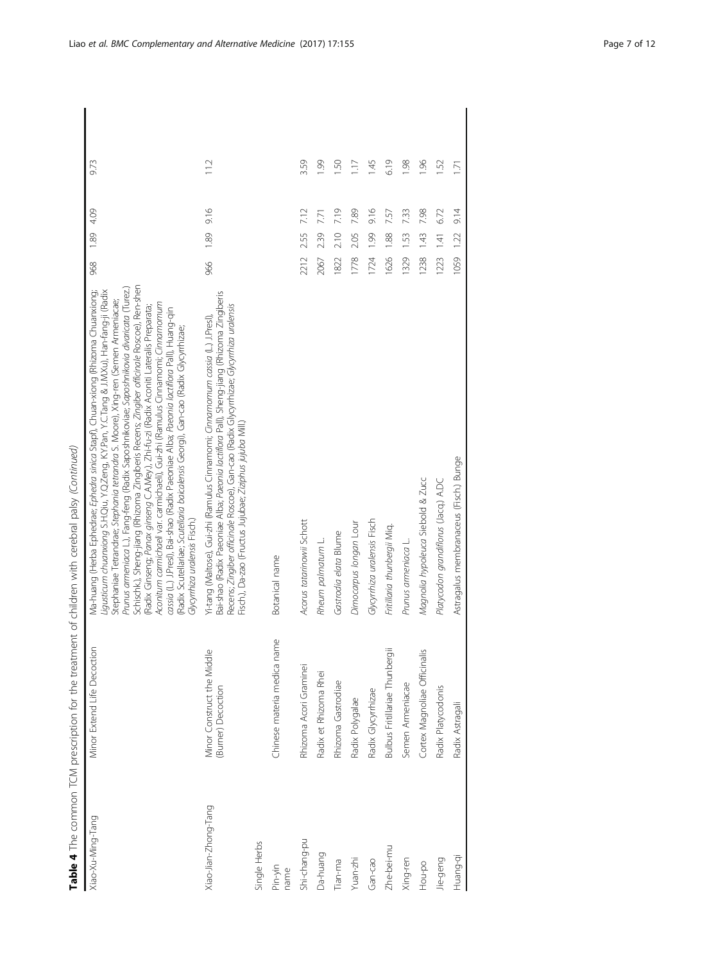|                      |                                                  | Table 4 The common TCM prescription for the treatment of children with cerebral palsy (Continued)                                                                                                                                                                                                                                                                                                                                                                                                                                                                                                                                                                                                                                                                                                                                                         |      |              |       |
|----------------------|--------------------------------------------------|-----------------------------------------------------------------------------------------------------------------------------------------------------------------------------------------------------------------------------------------------------------------------------------------------------------------------------------------------------------------------------------------------------------------------------------------------------------------------------------------------------------------------------------------------------------------------------------------------------------------------------------------------------------------------------------------------------------------------------------------------------------------------------------------------------------------------------------------------------------|------|--------------|-------|
| Xiao-Xu-Ming-Tang    | Minor Extend Life Decoction                      | Schischk.), Sheng-jiang (Rhizoma Zingiberis Recens; Zingiber officinale Roscoe), Ren-shen<br>Prunus armeniaca L.), Fang-feng (Radix Saposhnikoviae; Saposhnikovia divaricata (Turez.)<br>Vla-huang (Herba Ephedrae; Ephedra sinica Stapf), Chuan-xiong (Rhizoma Chuanxiong;<br>Ligusticum chuanxiong S.H.Qiu, Y.Q.Zeng, K.Y.Pan, Y.C.Tang & J.M.Xu), Han-fang-ji (Radix<br>Stephaniae Tetrandrae; Stephania tetrandra S. Moore), Xing-ren (Semen Armeniacae;<br>Aconitum carmichaeli var. carmichaeli), Gui-zhi (Ramulus Cinnamomi; Cinnamomum<br>Radix Ginseng; Panax ginseng C.A.Mey.), Zhi-fu-zi (Radix Aconiti Lateralis Preparata;<br>cassia (L.) J.Presl), Bai-shao (Radix Paeoniae Alba; Paeonia lactiflora Pall), Huang-qin<br>Radix Scutellariae; Scutellaria baicalensis Georgi), Gan-cao (Radix Glycyrrhizae;<br>Glycynthiza uralensis Fisch.) | 968  | 4.09<br>1.89 | 9.73  |
| Xiao-Jian-Zhong-Tang | Minor Construct the Middle<br>(Burner) Decoction | Bai-shao (Radix Paeoniae Alba; Paeonia lactiflora Pall), Sheng-jiang (Rhizoma Zingiberis<br>Recens; Zingiber officinale Roscoe), Gan-cao (Radix Glycyrrhizae; Glycyrrhiza uralensis<br>Ki-tang (Maltose), Gui-zhi (Ramulus Cinnamomi; Cinnamomum cassia (L.) J.Pres!),<br>Fisch.), Da-zao (Fructus Jujubae; Ziziphus jujuba Mill.)                                                                                                                                                                                                                                                                                                                                                                                                                                                                                                                        | 966  | 9.16<br>1.89 | 11.2  |
| Single Herbs         |                                                  |                                                                                                                                                                                                                                                                                                                                                                                                                                                                                                                                                                                                                                                                                                                                                                                                                                                           |      |              |       |
| Pin-yin<br>name      | Chinese materia medica name                      | Botanical name                                                                                                                                                                                                                                                                                                                                                                                                                                                                                                                                                                                                                                                                                                                                                                                                                                            |      |              |       |
| Shi-chang-pu         | Rhizoma Acori Graminei                           | Acorus tatarinowii Schott                                                                                                                                                                                                                                                                                                                                                                                                                                                                                                                                                                                                                                                                                                                                                                                                                                 | 2212 | 7.12<br>2.55 | 3.59  |
| Da-huang             | Radix et Rhizoma Rhei                            | Rheum palmatum L.                                                                                                                                                                                                                                                                                                                                                                                                                                                                                                                                                                                                                                                                                                                                                                                                                                         | 2067 | 7.71<br>239  | 661   |
| Tian-ma              | Rhizoma Gastrodiae                               | Gastrodia elata Blume                                                                                                                                                                                                                                                                                                                                                                                                                                                                                                                                                                                                                                                                                                                                                                                                                                     | 1822 | 7.19<br>2.10 | $-50$ |
| Yuan-zhi             | Radix Polygalae                                  | Dimocarpus longan Lour                                                                                                                                                                                                                                                                                                                                                                                                                                                                                                                                                                                                                                                                                                                                                                                                                                    | 1778 | 7.89<br>2.05 | 1.17  |
| Gan-cao              | Radix Glycyrrhizae                               | Glycyrrhiza uralensis Fisch                                                                                                                                                                                                                                                                                                                                                                                                                                                                                                                                                                                                                                                                                                                                                                                                                               | 1724 | 9.16<br>1.99 | 1.45  |
| Zhe-bei-mu           | Bulbus Fritillariae Thunbergii                   | Fritillaria thunbergii Miq.                                                                                                                                                                                                                                                                                                                                                                                                                                                                                                                                                                                                                                                                                                                                                                                                                               | 1626 | 757<br>1.88  | 6.19  |
| Xing-ren             | Semen Armeniacae                                 | Prunus armeniaca L                                                                                                                                                                                                                                                                                                                                                                                                                                                                                                                                                                                                                                                                                                                                                                                                                                        | 1329 | 7.33<br>1.53 | 1.98  |
| Hou-po               | Cortex Magnoliae Officinalis                     | Magnolia hypoleuca Siebold & Zucc                                                                                                                                                                                                                                                                                                                                                                                                                                                                                                                                                                                                                                                                                                                                                                                                                         | 1238 | 7.98<br>1.43 | 96    |
| Jie-geng             | Radix Platycodonis                               | Platycodon grandiflorus (Jacq.) A.DC                                                                                                                                                                                                                                                                                                                                                                                                                                                                                                                                                                                                                                                                                                                                                                                                                      | 1223 | 6.72<br>141  | 52    |
| Huang-qi             | Radix Astragali                                  | Astragalus membranaceus (Fisch.) Bunge                                                                                                                                                                                                                                                                                                                                                                                                                                                                                                                                                                                                                                                                                                                                                                                                                    | 1059 | 9.14<br>1.22 | 1.71  |
|                      |                                                  |                                                                                                                                                                                                                                                                                                                                                                                                                                                                                                                                                                                                                                                                                                                                                                                                                                                           |      |              |       |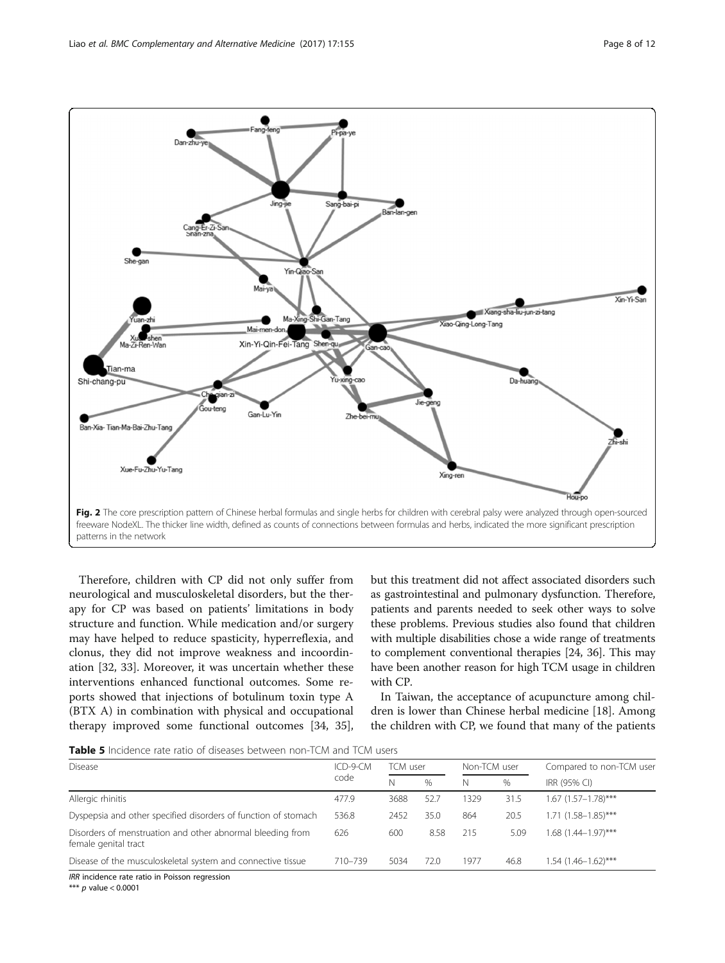<span id="page-7-0"></span>

Therefore, children with CP did not only suffer from neurological and musculoskeletal disorders, but the therapy for CP was based on patients' limitations in body structure and function. While medication and/or surgery may have helped to reduce spasticity, hyperreflexia, and clonus, they did not improve weakness and incoordination [[32, 33](#page-10-0)]. Moreover, it was uncertain whether these interventions enhanced functional outcomes. Some reports showed that injections of botulinum toxin type A (BTX A) in combination with physical and occupational therapy improved some functional outcomes [\[34, 35](#page-10-0)], but this treatment did not affect associated disorders such as gastrointestinal and pulmonary dysfunction. Therefore, patients and parents needed to seek other ways to solve these problems. Previous studies also found that children with multiple disabilities chose a wide range of treatments to complement conventional therapies [\[24, 36\]](#page-10-0). This may have been another reason for high TCM usage in children with CP.

In Taiwan, the acceptance of acupuncture among children is lower than Chinese herbal medicine [\[18\]](#page-10-0). Among the children with CP, we found that many of the patients

Table 5 Incidence rate ratio of diseases between non-TCM and TCM users

| <b>Disease</b>                                                                     | ICD-9-CM | TCM user |      | Non-TCM user |      | Compared to non-TCM user   |
|------------------------------------------------------------------------------------|----------|----------|------|--------------|------|----------------------------|
|                                                                                    | code     | N        | $\%$ | Ν            | $\%$ | IRR (95% CI)               |
| Allergic rhinitis                                                                  | 477.9    | 3688     | 52.7 | 1329         | 31.5 | $1.67$ (1.57-1.78)***      |
| Dyspepsia and other specified disorders of function of stomach                     | 536.8    | 2452     | 35.0 | 864          | 20.5 | 1.71 (1.58-1.85)***        |
| Disorders of menstruation and other abnormal bleeding from<br>female genital tract | 626      | 600      | 8.58 | 215          | 5.09 | $1.68$ $(1.44 - 1.97)$ *** |
| Disease of the musculoskeletal system and connective tissue                        | 710-739  | 5034     | 72.0 | 1977         | 46.8 | $1.54$ (1.46-1.62)***      |
| IRR incidence rate ratio in Poisson regression                                     |          |          |      |              |      |                            |

\*\*\* p value < 0.0001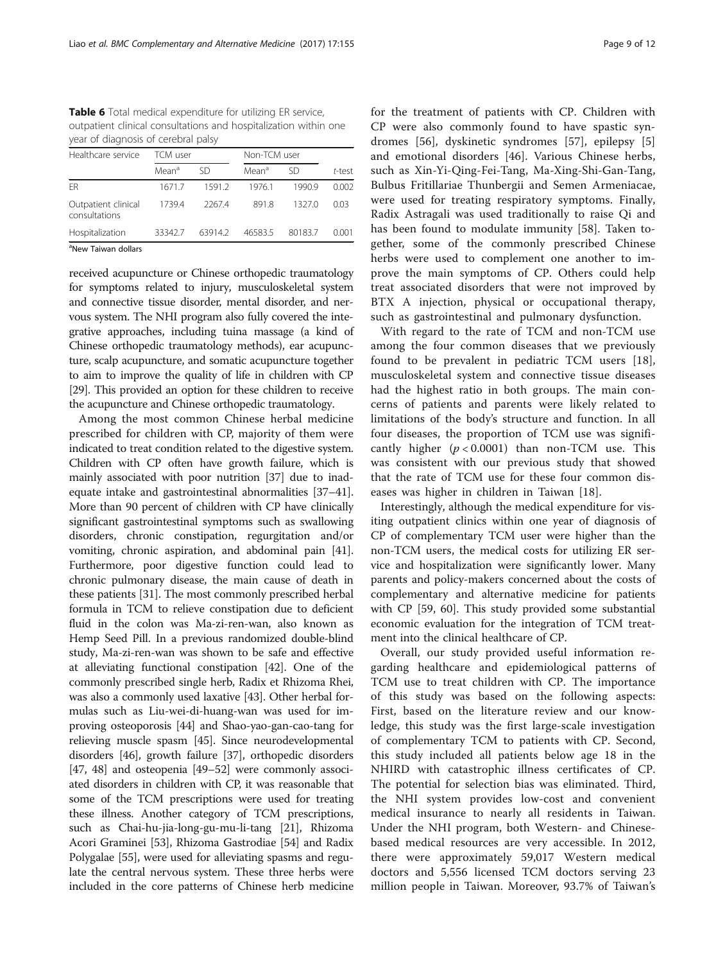<span id="page-8-0"></span>Table 6 Total medical expenditure for utilizing ER service, outpatient clinical consultations and hospitalization within one year of diagnosis of cerebral palsy

| Healthcare service                   | TCM user          |         | Non-TCM user      |         |        |
|--------------------------------------|-------------------|---------|-------------------|---------|--------|
|                                      | Mean <sup>a</sup> | SD      | Mean <sup>a</sup> | SD      | t-test |
| FR                                   | 1671.7            | 1591.2  | 1976.1            | 1990.9  | 0.002  |
| Outpatient clinical<br>consultations | 1739.4            | 2267.4  | 8918              | 1327.0  | 0.03   |
| Hospitalization                      | 33342.7           | 63914.2 | 46583.5           | 80183.7 | 0.001  |
| <sup>a</sup> New Taiwan dollars      |                   |         |                   |         |        |

New Taiwan dollars

received acupuncture or Chinese orthopedic traumatology for symptoms related to injury, musculoskeletal system and connective tissue disorder, mental disorder, and nervous system. The NHI program also fully covered the integrative approaches, including tuina massage (a kind of Chinese orthopedic traumatology methods), ear acupuncture, scalp acupuncture, and somatic acupuncture together to aim to improve the quality of life in children with CP [[29](#page-10-0)]. This provided an option for these children to receive the acupuncture and Chinese orthopedic traumatology.

Among the most common Chinese herbal medicine prescribed for children with CP, majority of them were indicated to treat condition related to the digestive system. Children with CP often have growth failure, which is mainly associated with poor nutrition [\[37\]](#page-10-0) due to inadequate intake and gastrointestinal abnormalities [\[37](#page-10-0)–[41](#page-10-0)]. More than 90 percent of children with CP have clinically significant gastrointestinal symptoms such as swallowing disorders, chronic constipation, regurgitation and/or vomiting, chronic aspiration, and abdominal pain [[41](#page-10-0)]. Furthermore, poor digestive function could lead to chronic pulmonary disease, the main cause of death in these patients [\[31\]](#page-10-0). The most commonly prescribed herbal formula in TCM to relieve constipation due to deficient fluid in the colon was Ma-zi-ren-wan, also known as Hemp Seed Pill. In a previous randomized double-blind study, Ma-zi-ren-wan was shown to be safe and effective at alleviating functional constipation [[42](#page-10-0)]. One of the commonly prescribed single herb, Radix et Rhizoma Rhei, was also a commonly used laxative [\[43](#page-10-0)]. Other herbal formulas such as Liu-wei-di-huang-wan was used for improving osteoporosis [[44](#page-10-0)] and Shao-yao-gan-cao-tang for relieving muscle spasm [\[45\]](#page-10-0). Since neurodevelopmental disorders [\[46\]](#page-10-0), growth failure [\[37](#page-10-0)], orthopedic disorders [[47](#page-10-0), [48](#page-10-0)] and osteopenia [\[49](#page-10-0)–[52](#page-10-0)] were commonly associated disorders in children with CP, it was reasonable that some of the TCM prescriptions were used for treating these illness. Another category of TCM prescriptions, such as Chai-hu-jia-long-gu-mu-li-tang [\[21\]](#page-10-0), Rhizoma Acori Graminei [[53](#page-10-0)], Rhizoma Gastrodiae [\[54\]](#page-10-0) and Radix Polygalae [\[55\]](#page-10-0), were used for alleviating spasms and regulate the central nervous system. These three herbs were included in the core patterns of Chinese herb medicine for the treatment of patients with CP. Children with CP were also commonly found to have spastic syndromes [[56\]](#page-10-0), dyskinetic syndromes [[57](#page-11-0)], epilepsy [\[5](#page-9-0)] and emotional disorders [\[46](#page-10-0)]. Various Chinese herbs, such as Xin-Yi-Qing-Fei-Tang, Ma-Xing-Shi-Gan-Tang, Bulbus Fritillariae Thunbergii and Semen Armeniacae, were used for treating respiratory symptoms. Finally, Radix Astragali was used traditionally to raise Qi and has been found to modulate immunity [[58\]](#page-11-0). Taken together, some of the commonly prescribed Chinese herbs were used to complement one another to improve the main symptoms of CP. Others could help treat associated disorders that were not improved by BTX A injection, physical or occupational therapy, such as gastrointestinal and pulmonary dysfunction.

With regard to the rate of TCM and non-TCM use among the four common diseases that we previously found to be prevalent in pediatric TCM users [\[18](#page-10-0)], musculoskeletal system and connective tissue diseases had the highest ratio in both groups. The main concerns of patients and parents were likely related to limitations of the body's structure and function. In all four diseases, the proportion of TCM use was significantly higher  $(p < 0.0001)$  than non-TCM use. This was consistent with our previous study that showed that the rate of TCM use for these four common diseases was higher in children in Taiwan [[18\]](#page-10-0).

Interestingly, although the medical expenditure for visiting outpatient clinics within one year of diagnosis of CP of complementary TCM user were higher than the non-TCM users, the medical costs for utilizing ER service and hospitalization were significantly lower. Many parents and policy-makers concerned about the costs of complementary and alternative medicine for patients with CP [\[59, 60\]](#page-11-0). This study provided some substantial economic evaluation for the integration of TCM treatment into the clinical healthcare of CP.

Overall, our study provided useful information regarding healthcare and epidemiological patterns of TCM use to treat children with CP. The importance of this study was based on the following aspects: First, based on the literature review and our knowledge, this study was the first large-scale investigation of complementary TCM to patients with CP. Second, this study included all patients below age 18 in the NHIRD with catastrophic illness certificates of CP. The potential for selection bias was eliminated. Third, the NHI system provides low-cost and convenient medical insurance to nearly all residents in Taiwan. Under the NHI program, both Western- and Chinesebased medical resources are very accessible. In 2012, there were approximately 59,017 Western medical doctors and 5,556 licensed TCM doctors serving 23 million people in Taiwan. Moreover, 93.7% of Taiwan's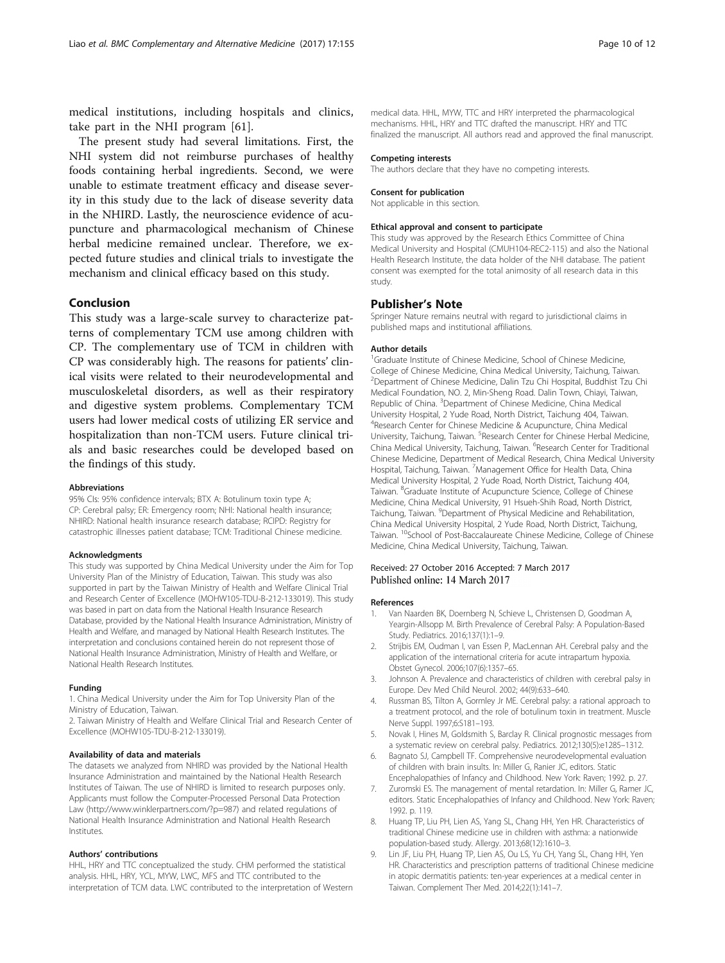<span id="page-9-0"></span>medical institutions, including hospitals and clinics, take part in the NHI program [[61\]](#page-11-0).

The present study had several limitations. First, the NHI system did not reimburse purchases of healthy foods containing herbal ingredients. Second, we were unable to estimate treatment efficacy and disease severity in this study due to the lack of disease severity data in the NHIRD. Lastly, the neuroscience evidence of acupuncture and pharmacological mechanism of Chinese herbal medicine remained unclear. Therefore, we expected future studies and clinical trials to investigate the mechanism and clinical efficacy based on this study.

## Conclusion

This study was a large-scale survey to characterize patterns of complementary TCM use among children with CP. The complementary use of TCM in children with CP was considerably high. The reasons for patients' clinical visits were related to their neurodevelopmental and musculoskeletal disorders, as well as their respiratory and digestive system problems. Complementary TCM users had lower medical costs of utilizing ER service and hospitalization than non-TCM users. Future clinical trials and basic researches could be developed based on the findings of this study.

#### Abbreviations

95% CIs: 95% confidence intervals; BTX A: Botulinum toxin type A; CP: Cerebral palsy; ER: Emergency room; NHI: National health insurance; NHIRD: National health insurance research database; RCIPD: Registry for catastrophic illnesses patient database; TCM: Traditional Chinese medicine.

#### Acknowledgments

This study was supported by China Medical University under the Aim for Top University Plan of the Ministry of Education, Taiwan. This study was also supported in part by the Taiwan Ministry of Health and Welfare Clinical Trial and Research Center of Excellence (MOHW105-TDU-B-212-133019). This study was based in part on data from the National Health Insurance Research Database, provided by the National Health Insurance Administration, Ministry of Health and Welfare, and managed by National Health Research Institutes. The interpretation and conclusions contained herein do not represent those of National Health Insurance Administration, Ministry of Health and Welfare, or National Health Research Institutes.

#### Funding

1. China Medical University under the Aim for Top University Plan of the Ministry of Education, Taiwan.

2. Taiwan Ministry of Health and Welfare Clinical Trial and Research Center of Excellence (MOHW105-TDU-B-212-133019).

#### Availability of data and materials

The datasets we analyzed from NHIRD was provided by the National Health Insurance Administration and maintained by the National Health Research Institutes of Taiwan. The use of NHIRD is limited to research purposes only. Applicants must follow the Computer-Processed Personal Data Protection Law ([http://www.winklerpartners.com/?p=987\)](http://www.winklerpartners.com/?p=987) and related regulations of National Health Insurance Administration and National Health Research Institutes.

#### Authors' contributions

HHL, HRY and TTC conceptualized the study. CHM performed the statistical analysis. HHL, HRY, YCL, MYW, LWC, MFS and TTC contributed to the interpretation of TCM data. LWC contributed to the interpretation of Western medical data. HHL, MYW, TTC and HRY interpreted the pharmacological mechanisms. HHL, HRY and TTC drafted the manuscript. HRY and TTC finalized the manuscript. All authors read and approved the final manuscript.

#### Competing interests

The authors declare that they have no competing interests.

#### Consent for publication

Not applicable in this section.

#### Ethical approval and consent to participate

This study was approved by the Research Ethics Committee of China Medical University and Hospital (CMUH104-REC2-115) and also the National Health Research Institute, the data holder of the NHI database. The patient consent was exempted for the total animosity of all research data in this study.

#### Publisher's Note

Springer Nature remains neutral with regard to jurisdictional claims in published maps and institutional affiliations.

#### Author details

<sup>1</sup>Graduate Institute of Chinese Medicine, School of Chinese Medicine College of Chinese Medicine, China Medical University, Taichung, Taiwan. 2 Department of Chinese Medicine, Dalin Tzu Chi Hospital, Buddhist Tzu Chi Medical Foundation, NO. 2, Min-Sheng Road. Dalin Town, Chiayi, Taiwan, Republic of China. <sup>3</sup>Department of Chinese Medicine, China Medical University Hospital, 2 Yude Road, North District, Taichung 404, Taiwan. 4 Research Center for Chinese Medicine & Acupuncture, China Medical University, Taichung, Taiwan. <sup>5</sup>Research Center for Chinese Herbal Medicine, China Medical University, Taichung, Taiwan. <sup>6</sup>Research Center for Traditional Chinese Medicine, Department of Medical Research, China Medical University Hospital, Taichung, Taiwan. <sup>7</sup>Management Office for Health Data, China Medical University Hospital, 2 Yude Road, North District, Taichung 404, Taiwan. <sup>8</sup>Graduate Institute of Acupuncture Science, College of Chinese Medicine, China Medical University, 91 Hsueh-Shih Road, North District, Taichung, Taiwan. <sup>9</sup>Department of Physical Medicine and Rehabilitation, China Medical University Hospital, 2 Yude Road, North District, Taichung, Taiwan. <sup>10</sup>School of Post-Baccalaureate Chinese Medicine, College of Chinese Medicine, China Medical University, Taichung, Taiwan.

#### Received: 27 October 2016 Accepted: 7 March 2017 Published online: 14 March 2017

#### References

- 1. Van Naarden BK, Doernberg N, Schieve L, Christensen D, Goodman A, Yeargin-Allsopp M. Birth Prevalence of Cerebral Palsy: A Population-Based Study. Pediatrics. 2016;137(1):1–9.
- 2. Strijbis EM, Oudman I, van Essen P, MacLennan AH. Cerebral palsy and the application of the international criteria for acute intrapartum hypoxia. Obstet Gynecol. 2006;107(6):1357–65.
- 3. Johnson A. Prevalence and characteristics of children with cerebral palsy in Europe. Dev Med Child Neurol. 2002; 44(9):633–640.
- 4. Russman BS, Tilton A, Gormley Jr ME. Cerebral palsy: a rational approach to a treatment protocol, and the role of botulinum toxin in treatment. Muscle Nerve Suppl. 1997;6:S181–193.
- 5. Novak I, Hines M, Goldsmith S, Barclay R. Clinical prognostic messages from a systematic review on cerebral palsy. Pediatrics. 2012;130(5):e1285–1312.
- 6. Bagnato SJ, Campbell TF. Comprehensive neurodevelopmental evaluation of children with brain insults. In: Miller G, Ranier JC, editors. Static Encephalopathies of Infancy and Childhood. New York: Raven; 1992. p. 27.
- Zuromski ES. The management of mental retardation. In: Miller G, Ramer JC, editors. Static Encephalopathies of Infancy and Childhood. New York: Raven; 1992. p. 119.
- 8. Huang TP, Liu PH, Lien AS, Yang SL, Chang HH, Yen HR. Characteristics of traditional Chinese medicine use in children with asthma: a nationwide population-based study. Allergy. 2013;68(12):1610–3.
- 9. Lin JF, Liu PH, Huang TP, Lien AS, Ou LS, Yu CH, Yang SL, Chang HH, Yen HR. Characteristics and prescription patterns of traditional Chinese medicine in atopic dermatitis patients: ten-year experiences at a medical center in Taiwan. Complement Ther Med. 2014;22(1):141–7.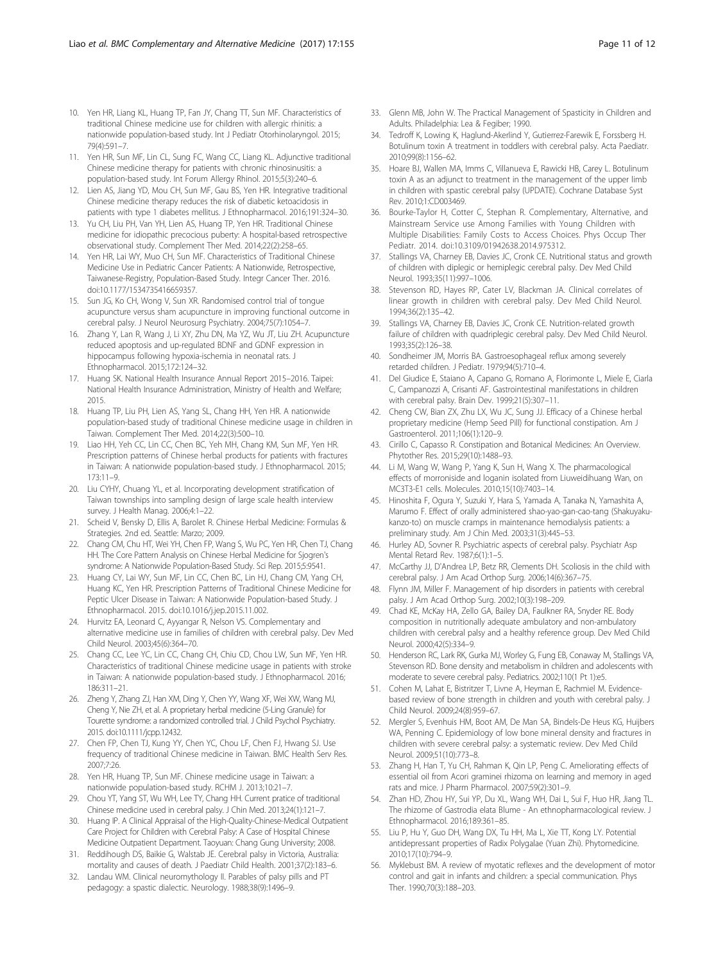- <span id="page-10-0"></span>10. Yen HR, Liang KL, Huang TP, Fan JY, Chang TT, Sun MF. Characteristics of traditional Chinese medicine use for children with allergic rhinitis: a nationwide population-based study. Int J Pediatr Otorhinolaryngol. 2015; 79(4):591–7.
- 11. Yen HR, Sun MF, Lin CL, Sung FC, Wang CC, Liang KL. Adjunctive traditional Chinese medicine therapy for patients with chronic rhinosinusitis: a population-based study. Int Forum Allergy Rhinol. 2015;5(3):240–6.
- 12. Lien AS, Jiang YD, Mou CH, Sun MF, Gau BS, Yen HR. Integrative traditional Chinese medicine therapy reduces the risk of diabetic ketoacidosis in patients with type 1 diabetes mellitus. J Ethnopharmacol. 2016;191:324–30.
- 13. Yu CH, Liu PH, Van YH, Lien AS, Huang TP, Yen HR. Traditional Chinese medicine for idiopathic precocious puberty: A hospital-based retrospective observational study. Complement Ther Med. 2014;22(2):258–65.
- 14. Yen HR, Lai WY, Muo CH, Sun MF. Characteristics of Traditional Chinese Medicine Use in Pediatric Cancer Patients: A Nationwide, Retrospective, Taiwanese-Registry, Population-Based Study. Integr Cancer Ther. 2016. doi[:10.1177/1534735416659357.](http://dx.doi.org/10.1177/1534735416659357)
- 15. Sun JG, Ko CH, Wong V, Sun XR. Randomised control trial of tongue acupuncture versus sham acupuncture in improving functional outcome in cerebral palsy. J Neurol Neurosurg Psychiatry. 2004;75(7):1054–7.
- 16. Zhang Y, Lan R, Wang J, Li XY, Zhu DN, Ma YZ, Wu JT, Liu ZH. Acupuncture reduced apoptosis and up-regulated BDNF and GDNF expression in hippocampus following hypoxia-ischemia in neonatal rats. J Ethnopharmacol. 2015;172:124–32.
- 17. Huang SK. National Health Insurance Annual Report 2015–2016. Taipei: National Health Insurance Administration, Ministry of Health and Welfare; 2015.
- 18. Huang TP, Liu PH, Lien AS, Yang SL, Chang HH, Yen HR. A nationwide population-based study of traditional Chinese medicine usage in children in Taiwan. Complement Ther Med. 2014;22(3):500–10.
- 19. Liao HH, Yeh CC, Lin CC, Chen BC, Yeh MH, Chang KM, Sun MF, Yen HR. Prescription patterns of Chinese herbal products for patients with fractures in Taiwan: A nationwide population-based study. J Ethnopharmacol. 2015; 173:11–9.
- 20. Liu CYHY, Chuang YL, et al. Incorporating development stratification of Taiwan townships into sampling design of large scale health interview survey. J Health Manag. 2006;4:1–22.
- 21. Scheid V, Bensky D, Ellis A, Barolet R. Chinese Herbal Medicine: Formulas & Strategies. 2nd ed. Seattle: Marzo; 2009.
- 22. Chang CM, Chu HT, Wei YH, Chen FP, Wang S, Wu PC, Yen HR, Chen TJ, Chang HH. The Core Pattern Analysis on Chinese Herbal Medicine for Sjogren's syndrome: A Nationwide Population-Based Study. Sci Rep. 2015;5:9541.
- 23. Huang CY, Lai WY, Sun MF, Lin CC, Chen BC, Lin HJ, Chang CM, Yang CH, Huang KC, Yen HR. Prescription Patterns of Traditional Chinese Medicine for Peptic Ulcer Disease in Taiwan: A Nationwide Population-based Study. J Ethnopharmacol. 2015. doi[:10.1016/j.jep.2015.11.002](http://dx.doi.org/10.1016/j.jep.2015.11.002).
- 24. Hurvitz EA, Leonard C, Ayyangar R, Nelson VS. Complementary and alternative medicine use in families of children with cerebral palsy. Dev Med Child Neurol. 2003;45(6):364–70.
- 25. Chang CC, Lee YC, Lin CC, Chang CH, Chiu CD, Chou LW, Sun MF, Yen HR. Characteristics of traditional Chinese medicine usage in patients with stroke in Taiwan: A nationwide population-based study. J Ethnopharmacol. 2016; 186:311–21.
- 26. Zheng Y, Zhang ZJ, Han XM, Ding Y, Chen YY, Wang XF, Wei XW, Wang MJ, Cheng Y, Nie ZH, et al. A proprietary herbal medicine (5-Ling Granule) for Tourette syndrome: a randomized controlled trial. J Child Psychol Psychiatry. 2015. doi[:10.1111/jcpp.12432](http://dx.doi.org/10.1111/jcpp.12432).
- 27. Chen FP, Chen TJ, Kung YY, Chen YC, Chou LF, Chen FJ, Hwang SJ. Use frequency of traditional Chinese medicine in Taiwan. BMC Health Serv Res. 2007;7:26.
- Yen HR, Huang TP, Sun MF. Chinese medicine usage in Taiwan: a nationwide population-based study. RCHM J. 2013;10:21–7.
- 29. Chou YT, Yang ST, Wu WH, Lee TY, Chang HH. Current pratice of traditional Chinese medicine used in cerebral palsy. J Chin Med. 2013;24(1):121–7.
- 30. Huang IP. A Clinical Appraisal of the High-Quality-Chinese-Medical Outpatient Care Project for Children with Cerebral Palsy: A Case of Hospital Chinese Medicine Outpatient Department. Taoyuan: Chang Gung University; 2008.
- 31. Reddihough DS, Baikie G, Walstab JE. Cerebral palsy in Victoria, Australia: mortality and causes of death. J Paediatr Child Health. 2001;37(2):183–6.
- 32. Landau WM. Clinical neuromythology II. Parables of palsy pills and PT pedagogy: a spastic dialectic. Neurology. 1988;38(9):1496–9.
- 33. Glenn MB, John W. The Practical Management of Spasticity in Children and Adults. Philadelphia: Lea & Fegiber; 1990.
- 34. Tedroff K, Lowing K, Haglund-Akerlind Y, Gutierrez-Farewik E, Forssberg H. Botulinum toxin A treatment in toddlers with cerebral palsy. Acta Paediatr. 2010;99(8):1156–62.
- 35. Hoare BJ, Wallen MA, Imms C, Villanueva E, Rawicki HB, Carey L. Botulinum toxin A as an adjunct to treatment in the management of the upper limb in children with spastic cerebral palsy (UPDATE). Cochrane Database Syst Rev. 2010;1:CD003469.
- 36. Bourke-Taylor H, Cotter C, Stephan R. Complementary, Alternative, and Mainstream Service use Among Families with Young Children with Multiple Disabilities: Family Costs to Access Choices. Phys Occup Ther Pediatr. 2014. doi:[10.3109/01942638.2014.975312](http://dx.doi.org/10.3109/01942638.2014.975312).
- 37. Stallings VA, Charney EB, Davies JC, Cronk CE. Nutritional status and growth of children with diplegic or hemiplegic cerebral palsy. Dev Med Child Neurol. 1993;35(11):997–1006.
- 38. Stevenson RD, Hayes RP, Cater LV, Blackman JA. Clinical correlates of linear growth in children with cerebral palsy. Dev Med Child Neurol. 1994;36(2):135–42.
- 39. Stallings VA, Charney EB, Davies JC, Cronk CE. Nutrition-related growth failure of children with quadriplegic cerebral palsy. Dev Med Child Neurol. 1993;35(2):126–38.
- 40. Sondheimer JM, Morris BA. Gastroesophageal reflux among severely retarded children. J Pediatr. 1979;94(5):710–4.
- 41. Del Giudice E, Staiano A, Capano G, Romano A, Florimonte L, Miele E, Ciarla C, Campanozzi A, Crisanti AF. Gastrointestinal manifestations in children with cerebral palsy. Brain Dev. 1999;21(5):307–11.
- 42. Cheng CW, Bian ZX, Zhu LX, Wu JC, Sung JJ. Efficacy of a Chinese herbal proprietary medicine (Hemp Seed Pill) for functional constipation. Am J Gastroenterol. 2011;106(1):120–9.
- 43. Cirillo C, Capasso R. Constipation and Botanical Medicines: An Overview. Phytother Res. 2015;29(10):1488–93.
- 44. Li M, Wang W, Wang P, Yang K, Sun H, Wang X. The pharmacological effects of morroniside and loganin isolated from Liuweidihuang Wan, on MC3T3-E1 cells. Molecules. 2010;15(10):7403–14.
- 45. Hinoshita F, Ogura Y, Suzuki Y, Hara S, Yamada A, Tanaka N, Yamashita A, Marumo F. Effect of orally administered shao-yao-gan-cao-tang (Shakuyakukanzo-to) on muscle cramps in maintenance hemodialysis patients: a preliminary study. Am J Chin Med. 2003;31(3):445–53.
- 46. Hurley AD, Sovner R. Psychiatric aspects of cerebral palsy. Psychiatr Asp Mental Retard Rev. 1987;6(1):1–5.
- 47. McCarthy JJ, D'Andrea LP, Betz RR, Clements DH. Scoliosis in the child with cerebral palsy. J Am Acad Orthop Surg. 2006;14(6):367–75.
- 48. Flynn JM, Miller F. Management of hip disorders in patients with cerebral palsy. J Am Acad Orthop Surg. 2002;10(3):198–209.
- 49. Chad KE, McKay HA, Zello GA, Bailey DA, Faulkner RA, Snyder RE. Body composition in nutritionally adequate ambulatory and non-ambulatory children with cerebral palsy and a healthy reference group. Dev Med Child Neurol. 2000;42(5):334–9.
- 50. Henderson RC, Lark RK, Gurka MJ, Worley G, Fung EB, Conaway M, Stallings VA, Stevenson RD. Bone density and metabolism in children and adolescents with moderate to severe cerebral palsy. Pediatrics. 2002;110(1 Pt 1):e5.
- 51. Cohen M, Lahat E, Bistritzer T, Livne A, Heyman E, Rachmiel M. Evidencebased review of bone strength in children and youth with cerebral palsy. J Child Neurol. 2009;24(8):959–67.
- 52. Mergler S, Evenhuis HM, Boot AM, De Man SA, Bindels-De Heus KG, Huijbers WA, Penning C. Epidemiology of low bone mineral density and fractures in children with severe cerebral palsy: a systematic review. Dev Med Child Neurol. 2009;51(10):773–8.
- 53. Zhang H, Han T, Yu CH, Rahman K, Qin LP, Peng C. Ameliorating effects of essential oil from Acori graminei rhizoma on learning and memory in aged rats and mice. J Pharm Pharmacol. 2007;59(2):301–9.
- 54. Zhan HD, Zhou HY, Sui YP, Du XL, Wang WH, Dai L, Sui F, Huo HR, Jiang TL. The rhizome of Gastrodia elata Blume - An ethnopharmacological review. J Ethnopharmacol. 2016;189:361–85.
- 55. Liu P, Hu Y, Guo DH, Wang DX, Tu HH, Ma L, Xie TT, Kong LY. Potential antidepressant properties of Radix Polygalae (Yuan Zhi). Phytomedicine. 2010;17(10):794–9.
- 56. Myklebust BM. A review of myotatic reflexes and the development of motor control and gait in infants and children: a special communication. Phys Ther. 1990;70(3):188–203.